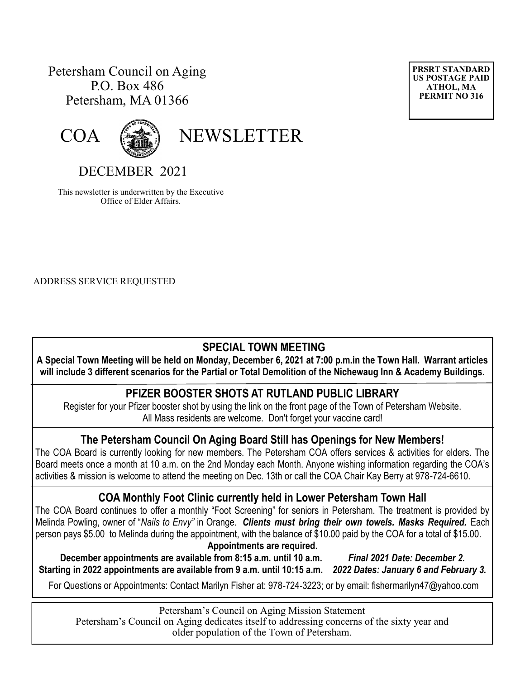# Petersham Council on Aging P.O. Box 486 Petersham, MA 01366





COA (

# DECEMBER 2021

This newsletter is underwritten by the Executive Office of Elder Affairs.

ADDRESS SERVICE REQUESTED

### **SPECIAL TOWN MEETING**

**A Special Town Meeting will be held on Monday, December 6, 2021 at 7:00 p.m.in the Town Hall. Warrant articles will include 3 different scenarios for the Partial or Total Demolition of the Nichewaug Inn & Academy Buildings.**

#### **PFIZER BOOSTER SHOTS AT RUTLAND PUBLIC LIBRARY**

Register for your Pfizer booster shot by using the link on the front page of the Town of Petersham Website. All Mass residents are welcome. Don't forget your vaccine card!

### **The Petersham Council On Aging Board Still has Openings for New Members!**

The COA Board is currently looking for new members. The Petersham COA offers services & activities for elders. The Board meets once a month at 10 a.m. on the 2nd Monday each Month. Anyone wishing information regarding the COA's activities & mission is welcome to attend the meeting on Dec. 13th or call the COA Chair Kay Berry at 978-724-6610.

## **COA Monthly Foot Clinic currently held in Lower Petersham Town Hall**

The COA Board continues to offer a monthly "Foot Screening" for seniors in Petersham. The treatment is provided by Melinda Powling, owner of "*Nails to Envy"* in Orange. *Clients must bring their own towels. Masks Required.* Each person pays \$5.00 to Melinda during the appointment, with the balance of \$10.00 paid by the COA for a total of \$15.00. **Appointments are required.** 

**December appointments are available from 8:15 a.m. until 10 a.m.** *Final 2021 Date: December 2.*  **Starting in 2022 appointments are available from 9 a.m. until 10:15 a.m.** *2022 Dates: January 6 and February 3.*

For Questions or Appointments: Contact Marilyn Fisher at: 978-724-3223; or by email: fishermarilyn47@yahoo.com

Petersham's Council on Aging Mission Statement Petersham's Council on Aging dedicates itself to addressing concerns of the sixty year and older population of the Town of Petersham.

**PRSRT STANDARD US POSTAGE PAID ATHOL, MA PERMIT NO 316**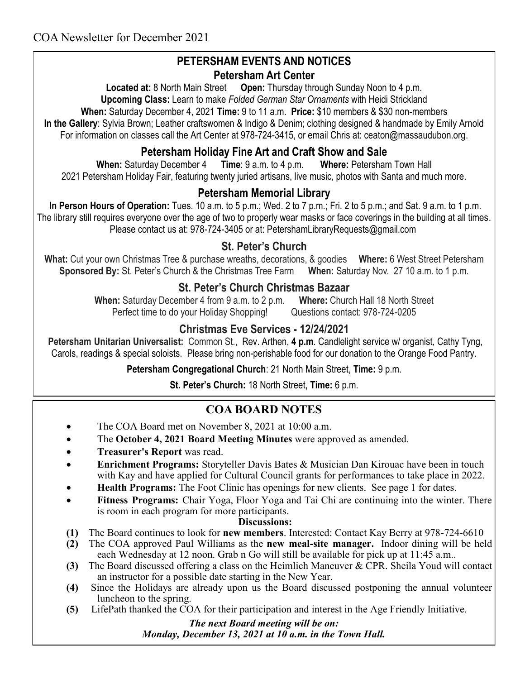### **PETERSHAM EVENTS AND NOTICES Petersham Art Center**

**Located at:** 8 North Main Street **Open:** Thursday through Sunday Noon to 4 p.m. **Upcoming Class:** Learn to make *Folded German Star Ornaments* with Heidi Strickland **When:** Saturday December 4, 2021 **Time:** 9 to 11 a.m. **Price:** \$10 members & \$30 non-members

**In the Gallery**: Sylvia Brown; Leather craftswomen & Indigo & Denim; clothing designed & handmade by Emily Arnold For information on classes call the Art Center at 978-724-3415, or email Chris at: [ceaton@massaudubon.org.](mailto:ceaton@massaudubon.org)

### **Petersham Holiday Fine Art and Craft Show and Sale**

**When:** Saturday December 4 **Time**: 9 a.m. to 4 p.m. **Where:** Petersham Town Hall 2021 Petersham Holiday Fair, featuring twenty juried artisans, live music, photos with Santa and much more.

### **Petersham Memorial Library**

**In Person Hours of Operation:** Tues. 10 a.m. to 5 p.m.; Wed. 2 to 7 p.m.; Fri. 2 to 5 p.m.; and Sat. 9 a.m. to 1 p.m. The library still requires everyone over the age of two to properly wear masks or face coverings in the building at all times. Please contact us at: 978-724-3405 or at: PetershamLibraryRequests@gmail.com

### **St. Peter's Church**

**What:** Cut your own Christmas Tree & purchase wreaths, decorations, & goodies **Where:** 6 West Street Petersham **Sponsored By:** St. Peter's Church & the Christmas Tree Farm **When:** Saturday Nov. 27 10 a.m. to 1 p.m.

### **St. Peter's Church Christmas Bazaar**

**When:** Saturday December 4 from 9 a.m. to 2 p.m. **Where:** Church Hall 18 North Street Perfect time to do your Holiday Shopping! Questions contact: 978-724-0205

### **Christmas Eve Services - 12/24/2021**

**Petersham Unitarian Universalist:** Common St., Rev. Arthen, **4 p.m**. Candlelight service w/ organist, Cathy Tyng, Carols, readings & special soloists. Please bring non-perishable food for our donation to the Orange Food Pantry.

**Petersham Congregational Church**: 21 North Main Street, **Time:** 9 p.m.

**St. Peter's Church:** 18 North Street, **Time:** 6 p.m.

## **COA BOARD NOTES**

- The COA Board met on November 8, 2021 at 10:00 a.m.
- The **October 4, 2021 Board Meeting Minutes** were approved as amended.
- **Treasurer's Report** was read.
- **Enrichment Programs:** Storyteller Davis Bates & Musician Dan Kirouac have been in touch with Kay and have applied for Cultural Council grants for performances to take place in 2022.
- **Health Programs:** The Foot Clinic has openings for new clients. See page 1 for dates.
- **Fitness Programs:** Chair Yoga, Floor Yoga and Tai Chi are continuing into the winter. There is room in each program for more participants.

#### **Discussions:**

- **(1)** The Board continues to look for **new members**. Interested: Contact Kay Berry at 978-724-6610
- **(2)** The COA approved Paul Williams as the **new meal-site manager.** Indoor dining will be held each Wednesday at 12 noon. Grab n Go will still be available for pick up at 11:45 a.m..
- **(3)** The Board discussed offering a class on the Heimlich Maneuver & CPR. Sheila Youd will contact an instructor for a possible date starting in the New Year.
- **(4)** Since the Holidays are already upon us the Board discussed postponing the annual volunteer luncheon to the spring.
- **(5)** LifePath thanked the COA for their participation and interest in the Age Friendly Initiative.

*The next Board meeting will be on: Monday, December 13, 2021 at 10 a.m. in the Town Hall.*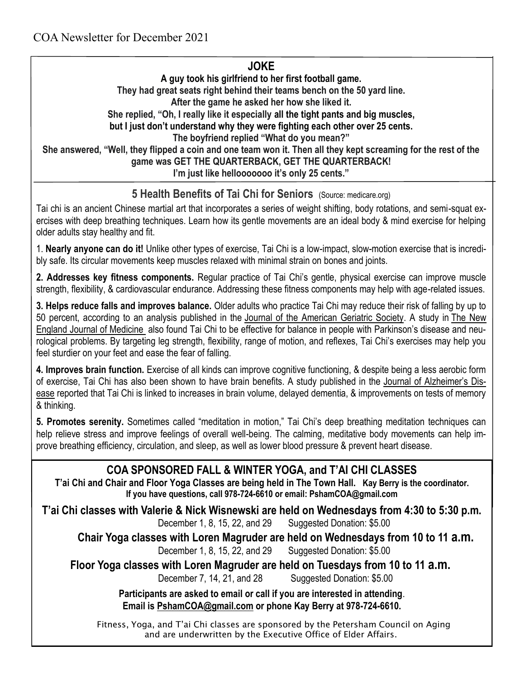### **JOKE**

**A guy took his girlfriend to her first football game. They had great seats right behind their teams bench on the 50 yard line. After the game he asked her how she liked it. She replied, "Oh, I really like it especially all the tight pants and big muscles, but I just don't understand why they were fighting each other over 25 cents. The boyfriend replied "What do you mean?" She answered, "Well, they flipped a coin and one team won it. Then all they kept screaming for the rest of the game was GET THE QUARTERBACK, GET THE QUARTERBACK! I'm just like hellooooooo it's only 25 cents."**

# **5 Health Benefits of Tai Chi for Seniors** (Source: medicare.org)

Tai chi is an ancient Chinese martial art that incorporates a series of weight shifting, body rotations, and semi-squat exercises with deep breathing techniques. Learn how its gentle movements are an ideal body & mind exercise for helping older adults stay healthy and fit.

1. **Nearly anyone can do it!** Unlike other types of exercise, Tai Chi is a low-impact, slow-motion exercise that is incredibly safe. Its circular movements keep muscles relaxed with minimal strain on bones and joints.

**2. Addresses key fitness components.** Regular practice of Tai Chi's gentle, physical exercise can improve muscle strength, flexibility, & cardiovascular endurance. Addressing these fitness components may help with age-related issues.

**3. Helps reduce falls and improves balance.** Older adults who practice Tai Chi may reduce their risk of falling by up to 50 percent, according to an analysis published in the [Journal of the American Geriatric Society.](http://onlinelibrary.wiley.com/doi/10.1111/jgs.15008/abstract) A study in [The New](http://www.nejm.org/doi/full/10.1056/NEJMoa1107911)  [England Journal of Medicine](http://www.nejm.org/doi/full/10.1056/NEJMoa1107911) also found Tai Chi to be effective for balance in people with Parkinson's disease and neurological problems. By targeting leg strength, flexibility, range of motion, and reflexes, Tai Chi's exercises may help you feel sturdier on your feet and ease the fear of falling.

**4. Improves brain function.** Exercise of all kinds can improve cognitive functioning, & despite being a less aerobic form of exercise, Tai Chi has also been shown to have brain benefits. A study published in the [Journal of Alzheimer's Dis](https://www.j-alz.com/content/tai-chi-increases-brain-size-and-benefits-cognition-randomized-controlled-trial-chinese)[ease](https://www.j-alz.com/content/tai-chi-increases-brain-size-and-benefits-cognition-randomized-controlled-trial-chinese) reported that Tai Chi is linked to increases in brain volume, delayed dementia, & improvements on tests of memory & thinking.

**5. Promotes serenity.** Sometimes called "meditation in motion," Tai Chi's deep breathing meditation techniques can help relieve stress and improve feelings of overall well-being. The calming, meditative body movements can help improve breathing efficiency, circulation, and sleep, as well as lower blood pressure & prevent heart disease.

# **COA SPONSORED FALL & WINTER YOGA, and T'AI CHI CLASSES**

**T'ai Chi and Chair and Floor Yoga Classes are being held in The Town Hall. Kay Berry is the coordinator. If you have questions, call 978-724-6610 or email: PshamCOA@gmail.com**

**T'ai Chi classes with Valerie & Nick Wisnewski are held on Wednesdays from 4:30 to 5:30 p.m.**  December 1, 8, 15, 22, and 29 Suggested Donation: \$5.00

**Chair Yoga classes with Loren Magruder are held on Wednesdays from 10 to 11 a.m.** December 1, 8, 15, 22, and 29 Suggested Donation: \$5.00

**Floor Yoga classes with Loren Magruder are held on Tuesdays from 10 to 11 a.m.**

December 7, 14, 21, and 28 Suggested Donation: \$5.00

**Participants are asked to email or call if you are interested in attending**. **Email is [PshamCOA@gmail.com](mailto:PshamCOA@gmail.com) or phone Kay Berry at 978-724-6610.** 

Fitness, Yoga, and T'ai Chi classes are sponsored by the Petersham Council on Aging and are underwritten by the Executive Office of Elder Affairs.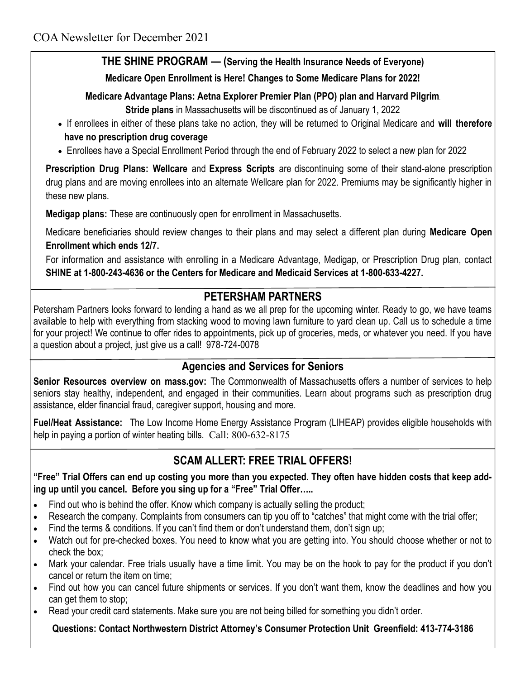# **THE SHINE PROGRAM — (Serving the Health Insurance Needs of Everyone)**

**Medicare Open Enrollment is Here! Changes to Some Medicare Plans for 2022!**

#### **Medicare Advantage Plans: Aetna Explorer Premier Plan (PPO) plan and Harvard Pilgrim.**

**Stride plans** in Massachusetts will be discontinued as of January 1, 2022

- If enrollees in either of these plans take no action, they will be returned to Original Medicare and **will therefore have no prescription drug coverage**
- Enrollees have a Special Enrollment Period through the end of February 2022 to select a new plan for 2022

**Prescription Drug Plans: Wellcare** and **Express Scripts** are discontinuing some of their stand-alone prescription drug plans and are moving enrollees into an alternate Wellcare plan for 2022. Premiums may be significantly higher in these new plans.

**Medigap plans:** These are continuously open for enrollment in Massachusetts.

Medicare beneficiaries should review changes to their plans and may select a different plan during **Medicare Open Enrollment which ends 12/7.** 

For information and assistance with enrolling in a Medicare Advantage, Medigap, or Prescription Drug plan, contact **SHINE at 1-800-243-4636 or the Centers for Medicare and Medicaid Services at 1-800-633-4227.**

### **PETERSHAM PARTNERS**

Petersham Partners looks forward to lending a hand as we all prep for the upcoming winter. Ready to go, we have teams available to help with everything from stacking wood to moving lawn furniture to yard clean up. Call us to schedule a time for your project! We continue to offer rides to appointments, pick up of groceries, meds, or whatever you need. If you have a question about a project, just give us a call! 978-724-0078

### **Agencies and Services for Seniors**

**[Senior Resources overview on mass.gov:](http://mass.gov/topics/seniors)** The Commonwealth of Massachusetts offers a number of services to help seniors stay healthy, independent, and engaged in their communities. Learn about programs such as prescription drug assistance, elder financial fraud, caregiver support, housing and more.

**[Fuel/Heat Assistance:](http://mass.gov/service-details/learn-about-low-income-home-energy-assistance-program-liheap)** The Low Income Home Energy Assistance Program (LIHEAP) provides eligible households with help in paying a portion of winter heating bills. Call: 800-632-8175

## **SCAM ALLERT: FREE TRIAL OFFERS!**

**"Free" Trial Offers can end up costing you more than you expected. They often have hidden costs that keep adding up until you cancel. Before you sing up for a "Free" Trial Offer…..**

- Find out who is behind the offer. Know which company is actually selling the product;
- Research the company. Complaints from consumers can tip you off to "catches" that might come with the trial offer;
- Find the terms & conditions. If you can't find them or don't understand them, don't sign up;
- Watch out for pre-checked boxes. You need to know what you are getting into. You should choose whether or not to check the box;
- Mark your calendar. Free trials usually have a time limit. You may be on the hook to pay for the product if you don't cancel or return the item on time;
- Find out how you can cancel future shipments or services. If you don't want them, know the deadlines and how you can get them to stop;
- Read your credit card statements. Make sure you are not being billed for something you didn't order.

#### **Questions: Contact Northwestern District Attorney's Consumer Protection Unit Greenfield: 413-774-3186**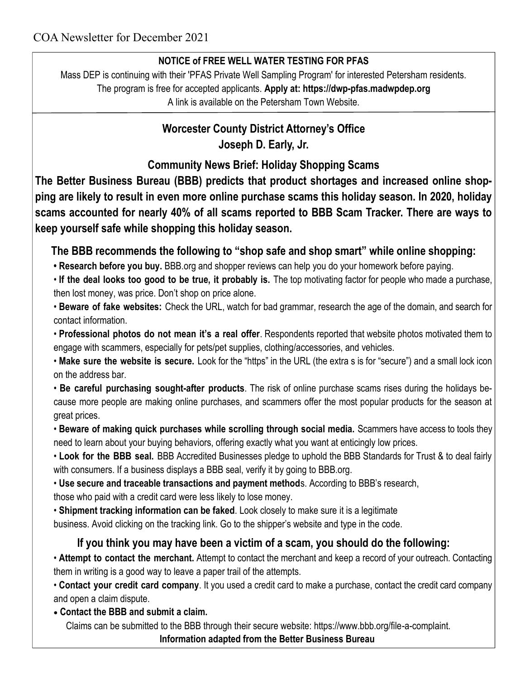### **NOTICE of FREE WELL WATER TESTING FOR PFAS**

Mass DEP is continuing with their 'PFAS Private Well Sampling Program' for interested Petersham residents. The program is free for accepted applicants. **Apply at: [https://dwp-pfas.madwpdep.org](https://dwp-pfas.madwpdep.org/)**  A link is available on the Petersham Town Website.

# **Worcester County District Attorney's Office Joseph D. Early, Jr.**

**Community News Brief: Holiday Shopping Scams**

**The Better Business Bureau (BBB) predicts that product shortages and increased online shopping are likely to result in even more online purchase scams this holiday season. In 2020, holiday scams accounted for nearly 40% of all scams reported to BBB Scam Tracker. There are ways to keep yourself safe while shopping this holiday season.**

**The BBB recommends the following to "shop safe and shop smart" while online shopping:**

• Research before you buy. BBB org and shopper reviews can help you do your homework before paying.

• **If the deal looks too good to be true, it probably is.** The top motivating factor for people who made a purchase, then lost money, was price. Don't shop on price alone.

• **Beware of fake websites:** Check the URL, watch for bad grammar, research the age of the domain, and search for contact information.

• **Professional photos do not mean it's a real offer**. Respondents reported that website photos motivated them to engage with scammers, especially for pets/pet supplies, clothing/accessories, and vehicles.

• **Make sure the website is secure.** Look for the "https" in the URL (the extra s is for "secure") and a small lock icon on the address bar.

• **Be careful purchasing sought-after products**. The risk of online purchase scams rises during the holidays because more people are making online purchases, and scammers offer the most popular products for the season at great prices.

• **Beware of making quick purchases while scrolling through social media.** Scammers have access to tools they need to learn about your buying behaviors, offering exactly what you want at enticingly low prices.

• **Look for the BBB seal.** BBB Accredited Businesses pledge to uphold the BBB Standards for Trust & to deal fairly with consumers. If a business displays a BBB seal, verify it by going to BBB.org.

• **Use secure and traceable transactions and payment method**s. According to BBB's research, those who paid with a credit card were less likely to lose money.

• **Shipment tracking information can be faked**. Look closely to make sure it is a legitimate

business. Avoid clicking on the tracking link. Go to the shipper's website and type in the code.

# **If you think you may have been a victim of a scam, you should do the following:**

• **Attempt to contact the merchant.** Attempt to contact the merchant and keep a record of your outreach. Contacting them in writing is a good way to leave a paper trail of the attempts.

• **Contact your credit card company**. It you used a credit card to make a purchase, contact the credit card company and open a claim dispute.

**Contact the BBB and submit a claim.** 

Claims can be submitted to the BBB through their secure website: https://www.bbb.org/file-a-complaint.

**Information adapted from the Better Business Bureau**